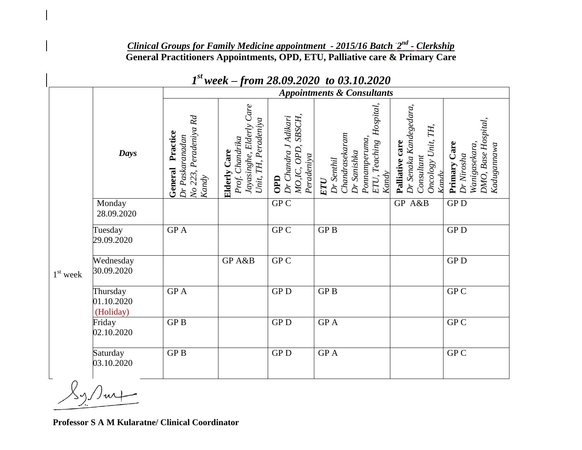## *Clinical Groups for Family Medicine appointment - 2015/16 Batch 2 nd - Clerkship* **General Practitioners Appointments, OPD, ETU, Palliative care & Primary Care**

|            |                                     | <b>Appointments &amp; Consultants</b>                                    |                                                                                               |                                                                           |                                                                                                            |                                                                                           |                                                                                   |
|------------|-------------------------------------|--------------------------------------------------------------------------|-----------------------------------------------------------------------------------------------|---------------------------------------------------------------------------|------------------------------------------------------------------------------------------------------------|-------------------------------------------------------------------------------------------|-----------------------------------------------------------------------------------|
|            | Days                                | No 223, Peradeniya Rd<br>Practice<br>Dr Paskaranadan<br>General<br>Kandy | Jayasinghe, Elderly Care<br>Peradeniya<br>Prof. Chandrika<br><b>Elderly Care</b><br>Unit, TH, | SBSCH,<br>Dr Chandra J Adikari<br>MO,IC, OPD,<br>Peradeniya<br><b>OPD</b> | Hospital,<br>Chandrasekaram<br>Ponnamperuma,<br>ETU, Teaching<br>Dr Sanishka<br>Dr Senthil<br>Kandy<br>ETU | Dr Senaka Kandegedara,<br>TH,<br>Oncology Unit,<br>Palliative care<br>Consultant<br>Kandy | DMO, Base Hospital,<br>Wanigasekara,<br>Primary Care<br>Kadugannawa<br>Dr Nirosha |
| $1st$ week | Monday<br>28.09.2020                |                                                                          |                                                                                               | GPC                                                                       |                                                                                                            | GP A&B                                                                                    | ${\rm GP}\, {\rm D}$                                                              |
|            | Tuesday<br>29.09.2020               | GP A                                                                     |                                                                                               | GP C                                                                      | GP <sub>B</sub>                                                                                            |                                                                                           | GP <sub>D</sub>                                                                   |
|            | Wednesday<br>30.09.2020             |                                                                          | GP A&B                                                                                        | GP C                                                                      |                                                                                                            |                                                                                           | <b>GPD</b>                                                                        |
|            | Thursday<br>01.10.2020<br>(Holiday) | GP A                                                                     |                                                                                               | <b>GPD</b>                                                                | GP <sub>B</sub>                                                                                            |                                                                                           | GP <sub>C</sub>                                                                   |
|            | Friday<br>02.10.2020                | GP <sub>B</sub>                                                          |                                                                                               | <b>GPD</b>                                                                | <b>GPA</b>                                                                                                 |                                                                                           | GP <sub>C</sub>                                                                   |
|            | Saturday<br>03.10.2020              | ${\rm GP\,}{\rm B}$                                                      |                                                                                               | <b>GPD</b>                                                                | GP A                                                                                                       |                                                                                           | GP C                                                                              |

## *1 st week – from 28.09.2020 to 03.10.2020*

**Professor S A M Kularatne/ Clinical Coordinator**

 $X_1/\hspace{-0.1cm}/\sqrt{m}$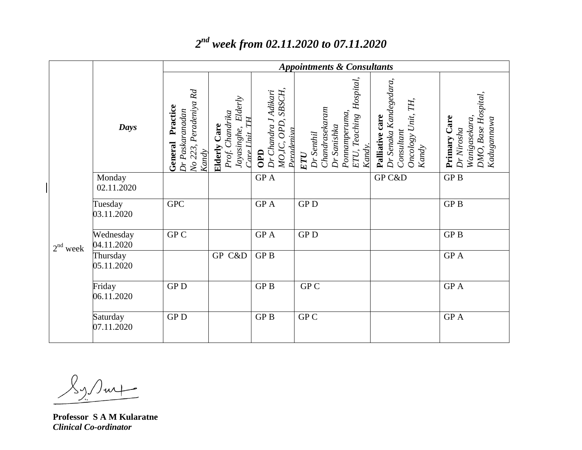|            |                         | <b>Appointments &amp; Consultants</b>                                       |                                                                                    |                                                                              |                                                                                                             |                                                                                        |                                                                                  |
|------------|-------------------------|-----------------------------------------------------------------------------|------------------------------------------------------------------------------------|------------------------------------------------------------------------------|-------------------------------------------------------------------------------------------------------------|----------------------------------------------------------------------------------------|----------------------------------------------------------------------------------|
|            | Days                    | Peradeniya Rd<br>Practice<br>Dr Paskaranadan<br>General<br>No 223,<br>Kandy | Elderly<br>Prof. Chandrika<br>$Care$ Unit TH<br><b>Elderly Care</b><br>Jayasinghe, | SBSCH,<br>Dr Chandra J Adikari<br>OPD,<br>Peradeniva<br>MO.IC,<br><b>OPD</b> | Hospital,<br>Chandrasekaram<br>Ponnamperuma,<br>ETU, Teaching<br>Dr Sanishka<br>Dr Senthil<br>Kandy.<br>ETU | Dr Senaka Kandegedara,<br>Oncology Unit, TH,<br>Palliative care<br>Consultant<br>Kandy | DMO, Base Hospital,<br>Kadugamawa<br>Primary Care<br>Wanigasekara,<br>Dr Nirosha |
| $2nd$ week | Monday<br>02.11.2020    |                                                                             |                                                                                    | ${\rm GP}$ A                                                                 |                                                                                                             | GP C&D                                                                                 | GP <sub>B</sub>                                                                  |
|            | Tuesday<br>03.11.2020   | <b>GPC</b>                                                                  |                                                                                    | <b>GPA</b>                                                                   | <b>GPD</b>                                                                                                  |                                                                                        | GP <sub>B</sub>                                                                  |
|            | Wednesday<br>04.11.2020 | GP C                                                                        |                                                                                    | GP A                                                                         | <b>GPD</b>                                                                                                  |                                                                                        | <b>GPB</b>                                                                       |
|            | Thursday<br>05.11.2020  |                                                                             | GP C&D                                                                             | GP <sub>B</sub>                                                              |                                                                                                             |                                                                                        | <b>GPA</b>                                                                       |
|            | Friday<br>06.11.2020    | <b>GPD</b>                                                                  |                                                                                    | GP <sub>B</sub>                                                              | GP C                                                                                                        |                                                                                        | GP A                                                                             |
|            | Saturday<br>07.11.2020  | <b>GPD</b>                                                                  |                                                                                    | <b>GPB</b>                                                                   | GP C                                                                                                        |                                                                                        | GP A                                                                             |

## *2 nd week from 02.11.2020 to 07.11.2020*

 $\langle \gamma \rangle$ urt

**Professor S A M Kularatne** *Clinical Co-ordinator*